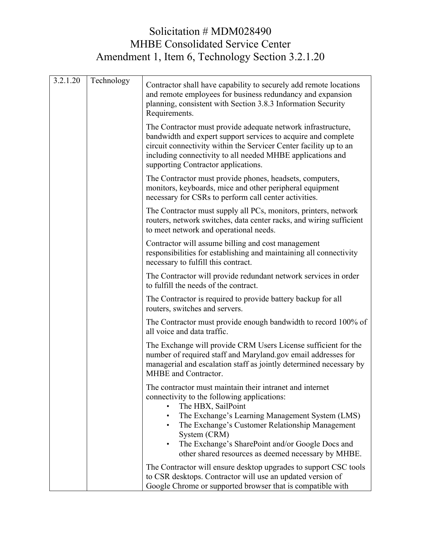## Solicitation # MDM028490 MHBE Consolidated Service Center Amendment 1, Item 6, Technology Section 3.2.1.20

| 3.2.1.20 | Technology | Contractor shall have capability to securely add remote locations<br>and remote employees for business redundancy and expansion<br>planning, consistent with Section 3.8.3 Information Security<br>Requirements.                                                                                                                                                                         |
|----------|------------|------------------------------------------------------------------------------------------------------------------------------------------------------------------------------------------------------------------------------------------------------------------------------------------------------------------------------------------------------------------------------------------|
|          |            | The Contractor must provide adequate network infrastructure,<br>bandwidth and expert support services to acquire and complete<br>circuit connectivity within the Servicer Center facility up to an<br>including connectivity to all needed MHBE applications and<br>supporting Contractor applications.                                                                                  |
|          |            | The Contractor must provide phones, headsets, computers,<br>monitors, keyboards, mice and other peripheral equipment<br>necessary for CSRs to perform call center activities.                                                                                                                                                                                                            |
|          |            | The Contractor must supply all PCs, monitors, printers, network<br>routers, network switches, data center racks, and wiring sufficient<br>to meet network and operational needs.                                                                                                                                                                                                         |
|          |            | Contractor will assume billing and cost management<br>responsibilities for establishing and maintaining all connectivity<br>necessary to fulfill this contract.                                                                                                                                                                                                                          |
|          |            | The Contractor will provide redundant network services in order<br>to fulfill the needs of the contract.                                                                                                                                                                                                                                                                                 |
|          |            | The Contractor is required to provide battery backup for all<br>routers, switches and servers.                                                                                                                                                                                                                                                                                           |
|          |            | The Contractor must provide enough bandwidth to record 100% of<br>all voice and data traffic.                                                                                                                                                                                                                                                                                            |
|          |            | The Exchange will provide CRM Users License sufficient for the<br>number of required staff and Maryland.gov email addresses for<br>managerial and escalation staff as jointly determined necessary by<br>MHBE and Contractor.                                                                                                                                                            |
|          |            | The contractor must maintain their intranet and internet<br>connectivity to the following applications:<br>The HBX, SailPoint<br>The Exchange's Learning Management System (LMS)<br>$\bullet$<br>The Exchange's Customer Relationship Management<br>System (CRM)<br>The Exchange's SharePoint and/or Google Docs and<br>$\bullet$<br>other shared resources as deemed necessary by MHBE. |
|          |            | The Contractor will ensure desktop upgrades to support CSC tools<br>to CSR desktops. Contractor will use an updated version of<br>Google Chrome or supported browser that is compatible with                                                                                                                                                                                             |